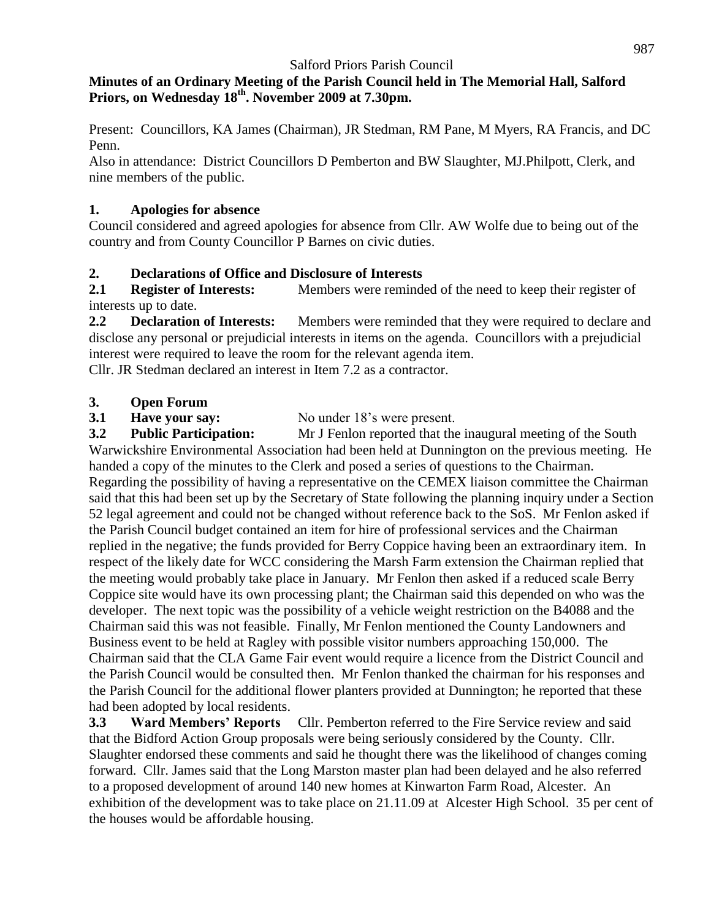### **Minutes of an Ordinary Meeting of the Parish Council held in The Memorial Hall, Salford Priors, on Wednesday 18 th . November 2009 at 7.30pm.**

Present: Councillors, KA James (Chairman), JR Stedman, RM Pane, M Myers, RA Francis, and DC Penn.

Also in attendance: District Councillors D Pemberton and BW Slaughter, MJ.Philpott, Clerk, and nine members of the public.

## **1. Apologies for absence**

Council considered and agreed apologies for absence from Cllr. AW Wolfe due to being out of the country and from County Councillor P Barnes on civic duties.

## **2. Declarations of Office and Disclosure of Interests**

**2.1 Register of Interests:** Members were reminded of the need to keep their register of interests up to date.

**2.2 Declaration of Interests:** Members were reminded that they were required to declare and disclose any personal or prejudicial interests in items on the agenda. Councillors with a prejudicial interest were required to leave the room for the relevant agenda item.

Cllr. JR Stedman declared an interest in Item 7.2 as a contractor.

## **3. Open Forum**

**3.1 Have your say:** No under 18's were present.

**3.2 Public Participation:** Mr J Fenlon reported that the inaugural meeting of the South Warwickshire Environmental Association had been held at Dunnington on the previous meeting. He handed a copy of the minutes to the Clerk and posed a series of questions to the Chairman. Regarding the possibility of having a representative on the CEMEX liaison committee the Chairman said that this had been set up by the Secretary of State following the planning inquiry under a Section 52 legal agreement and could not be changed without reference back to the SoS. Mr Fenlon asked if the Parish Council budget contained an item for hire of professional services and the Chairman replied in the negative; the funds provided for Berry Coppice having been an extraordinary item. In respect of the likely date for WCC considering the Marsh Farm extension the Chairman replied that the meeting would probably take place in January. Mr Fenlon then asked if a reduced scale Berry Coppice site would have its own processing plant; the Chairman said this depended on who was the developer. The next topic was the possibility of a vehicle weight restriction on the B4088 and the Chairman said this was not feasible. Finally, Mr Fenlon mentioned the County Landowners and Business event to be held at Ragley with possible visitor numbers approaching 150,000. The Chairman said that the CLA Game Fair event would require a licence from the District Council and the Parish Council would be consulted then. Mr Fenlon thanked the chairman for his responses and the Parish Council for the additional flower planters provided at Dunnington; he reported that these had been adopted by local residents.

**3.3 Ward Members' Reports** Cllr. Pemberton referred to the Fire Service review and said that the Bidford Action Group proposals were being seriously considered by the County. Cllr. Slaughter endorsed these comments and said he thought there was the likelihood of changes coming forward. Cllr. James said that the Long Marston master plan had been delayed and he also referred to a proposed development of around 140 new homes at Kinwarton Farm Road, Alcester. An exhibition of the development was to take place on 21.11.09 at Alcester High School. 35 per cent of the houses would be affordable housing.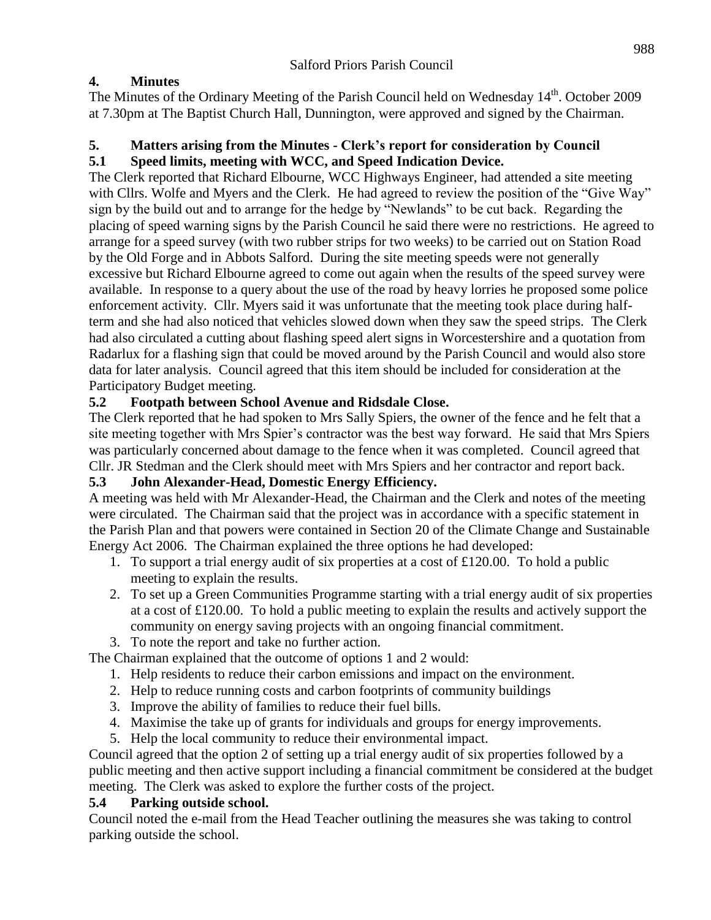# **4. Minutes**

The Minutes of the Ordinary Meeting of the Parish Council held on Wednesday 14<sup>th</sup>. October 2009 at 7.30pm at The Baptist Church Hall, Dunnington, were approved and signed by the Chairman.

# **5. Matters arising from the Minutes - Clerk's report for consideration by Council**

## **5.1 Speed limits, meeting with WCC, and Speed Indication Device.**

The Clerk reported that Richard Elbourne, WCC Highways Engineer, had attended a site meeting with Cllrs. Wolfe and Myers and the Clerk. He had agreed to review the position of the "Give Way" sign by the build out and to arrange for the hedge by "Newlands" to be cut back. Regarding the placing of speed warning signs by the Parish Council he said there were no restrictions. He agreed to arrange for a speed survey (with two rubber strips for two weeks) to be carried out on Station Road by the Old Forge and in Abbots Salford. During the site meeting speeds were not generally excessive but Richard Elbourne agreed to come out again when the results of the speed survey were available. In response to a query about the use of the road by heavy lorries he proposed some police enforcement activity. Cllr. Myers said it was unfortunate that the meeting took place during halfterm and she had also noticed that vehicles slowed down when they saw the speed strips. The Clerk had also circulated a cutting about flashing speed alert signs in Worcestershire and a quotation from Radarlux for a flashing sign that could be moved around by the Parish Council and would also store data for later analysis. Council agreed that this item should be included for consideration at the Participatory Budget meeting.

## **5.2 Footpath between School Avenue and Ridsdale Close.**

The Clerk reported that he had spoken to Mrs Sally Spiers, the owner of the fence and he felt that a site meeting together with Mrs Spier's contractor was the best way forward. He said that Mrs Spiers was particularly concerned about damage to the fence when it was completed. Council agreed that Cllr. JR Stedman and the Clerk should meet with Mrs Spiers and her contractor and report back.

# **5.3 John Alexander-Head, Domestic Energy Efficiency.**

A meeting was held with Mr Alexander-Head, the Chairman and the Clerk and notes of the meeting were circulated. The Chairman said that the project was in accordance with a specific statement in the Parish Plan and that powers were contained in Section 20 of the Climate Change and Sustainable Energy Act 2006. The Chairman explained the three options he had developed:

- 1. To support a trial energy audit of six properties at a cost of £120.00. To hold a public meeting to explain the results.
- 2. To set up a Green Communities Programme starting with a trial energy audit of six properties at a cost of £120.00. To hold a public meeting to explain the results and actively support the community on energy saving projects with an ongoing financial commitment.
- 3. To note the report and take no further action.

The Chairman explained that the outcome of options 1 and 2 would:

- 1. Help residents to reduce their carbon emissions and impact on the environment.
- 2. Help to reduce running costs and carbon footprints of community buildings
- 3. Improve the ability of families to reduce their fuel bills.
- 4. Maximise the take up of grants for individuals and groups for energy improvements.
- 5. Help the local community to reduce their environmental impact.

Council agreed that the option 2 of setting up a trial energy audit of six properties followed by a public meeting and then active support including a financial commitment be considered at the budget meeting. The Clerk was asked to explore the further costs of the project.

## **5.4 Parking outside school.**

Council noted the e-mail from the Head Teacher outlining the measures she was taking to control parking outside the school.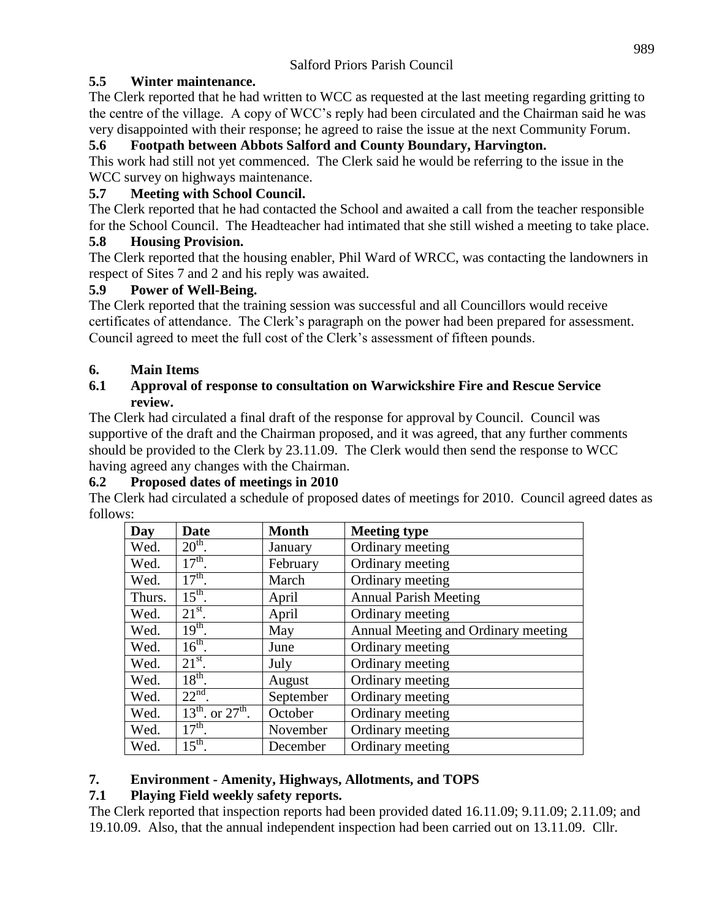## **5.5 Winter maintenance.**

The Clerk reported that he had written to WCC as requested at the last meeting regarding gritting to the centre of the village. A copy of WCC's reply had been circulated and the Chairman said he was very disappointed with their response; he agreed to raise the issue at the next Community Forum.

### **5.6 Footpath between Abbots Salford and County Boundary, Harvington.**

This work had still not yet commenced. The Clerk said he would be referring to the issue in the WCC survey on highways maintenance.

## **5.7 Meeting with School Council.**

The Clerk reported that he had contacted the School and awaited a call from the teacher responsible for the School Council. The Headteacher had intimated that she still wished a meeting to take place.

## **5.8 Housing Provision.**

The Clerk reported that the housing enabler, Phil Ward of WRCC, was contacting the landowners in respect of Sites 7 and 2 and his reply was awaited.

## **5.9 Power of Well-Being.**

The Clerk reported that the training session was successful and all Councillors would receive certificates of attendance. The Clerk's paragraph on the power had been prepared for assessment. Council agreed to meet the full cost of the Clerk's assessment of fifteen pounds.

## **6. Main Items**

#### **6.1 Approval of response to consultation on Warwickshire Fire and Rescue Service review.**

The Clerk had circulated a final draft of the response for approval by Council. Council was supportive of the draft and the Chairman proposed, and it was agreed, that any further comments should be provided to the Clerk by 23.11.09. The Clerk would then send the response to WCC having agreed any changes with the Chairman.

## **6.2 Proposed dates of meetings in 2010**

The Clerk had circulated a schedule of proposed dates of meetings for 2010. Council agreed dates as follows:

| Day    | <b>Date</b>                | <b>Month</b> | <b>Meeting type</b>                 |
|--------|----------------------------|--------------|-------------------------------------|
| Wed.   | $20th$ .                   | January      | Ordinary meeting                    |
| Wed.   | $17th$ .                   | February     | Ordinary meeting                    |
| Wed.   | $17th$ .                   | March        | Ordinary meeting                    |
| Thurs. | $15th$ .                   | April        | <b>Annual Parish Meeting</b>        |
| Wed.   | $21^{st}$ .                | April        | Ordinary meeting                    |
| Wed.   | $19th$ .                   | May          | Annual Meeting and Ordinary meeting |
| Wed.   | $16^{th}$ .                | June         | Ordinary meeting                    |
| Wed.   | $21^{st}$ .                | July         | Ordinary meeting                    |
| Wed.   | $18^{th}$ .                | August       | Ordinary meeting                    |
| Wed.   | $22nd$ .                   | September    | Ordinary meeting                    |
| Wed.   | $13^{th}$ , or $27^{th}$ . | October      | Ordinary meeting                    |
| Wed.   | $17th$ .                   | November     | Ordinary meeting                    |
| Wed.   | $15^{\text{th}}$ .         | December     | Ordinary meeting                    |

# **7. Environment - Amenity, Highways, Allotments, and TOPS**

# **7.1 Playing Field weekly safety reports.**

The Clerk reported that inspection reports had been provided dated 16.11.09; 9.11.09; 2.11.09; and 19.10.09. Also, that the annual independent inspection had been carried out on 13.11.09. Cllr.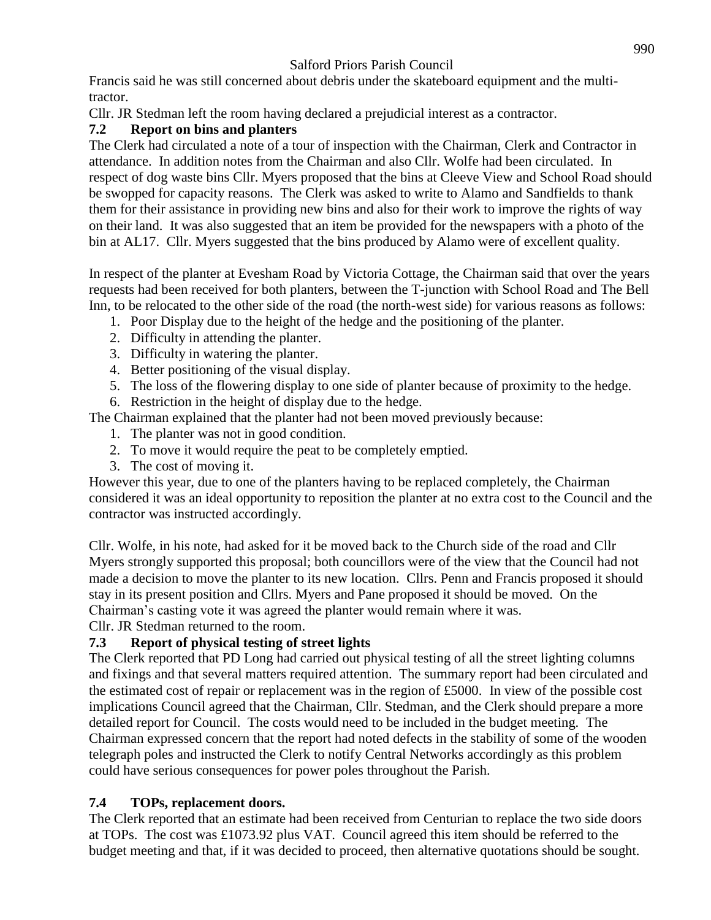Francis said he was still concerned about debris under the skateboard equipment and the multitractor.

Cllr. JR Stedman left the room having declared a prejudicial interest as a contractor.

# **7.2 Report on bins and planters**

The Clerk had circulated a note of a tour of inspection with the Chairman, Clerk and Contractor in attendance. In addition notes from the Chairman and also Cllr. Wolfe had been circulated. In respect of dog waste bins Cllr. Myers proposed that the bins at Cleeve View and School Road should be swopped for capacity reasons. The Clerk was asked to write to Alamo and Sandfields to thank them for their assistance in providing new bins and also for their work to improve the rights of way on their land. It was also suggested that an item be provided for the newspapers with a photo of the bin at AL17. Cllr. Myers suggested that the bins produced by Alamo were of excellent quality.

In respect of the planter at Evesham Road by Victoria Cottage, the Chairman said that over the years requests had been received for both planters, between the T-junction with School Road and The Bell Inn, to be relocated to the other side of the road (the north-west side) for various reasons as follows:

- 1. Poor Display due to the height of the hedge and the positioning of the planter.
- 2. Difficulty in attending the planter.
- 3. Difficulty in watering the planter.
- 4. Better positioning of the visual display.
- 5. The loss of the flowering display to one side of planter because of proximity to the hedge.
- 6. Restriction in the height of display due to the hedge.
- The Chairman explained that the planter had not been moved previously because:
	- 1. The planter was not in good condition.
	- 2. To move it would require the peat to be completely emptied.
	- 3. The cost of moving it.

However this year, due to one of the planters having to be replaced completely, the Chairman considered it was an ideal opportunity to reposition the planter at no extra cost to the Council and the contractor was instructed accordingly.

Cllr. Wolfe, in his note, had asked for it be moved back to the Church side of the road and Cllr Myers strongly supported this proposal; both councillors were of the view that the Council had not made a decision to move the planter to its new location. Cllrs. Penn and Francis proposed it should stay in its present position and Cllrs. Myers and Pane proposed it should be moved. On the Chairman's casting vote it was agreed the planter would remain where it was. Cllr. JR Stedman returned to the room.

# **7.3 Report of physical testing of street lights**

The Clerk reported that PD Long had carried out physical testing of all the street lighting columns and fixings and that several matters required attention. The summary report had been circulated and the estimated cost of repair or replacement was in the region of £5000. In view of the possible cost implications Council agreed that the Chairman, Cllr. Stedman, and the Clerk should prepare a more detailed report for Council. The costs would need to be included in the budget meeting. The Chairman expressed concern that the report had noted defects in the stability of some of the wooden telegraph poles and instructed the Clerk to notify Central Networks accordingly as this problem could have serious consequences for power poles throughout the Parish.

# **7.4 TOPs, replacement doors.**

The Clerk reported that an estimate had been received from Centurian to replace the two side doors at TOPs. The cost was £1073.92 plus VAT. Council agreed this item should be referred to the budget meeting and that, if it was decided to proceed, then alternative quotations should be sought.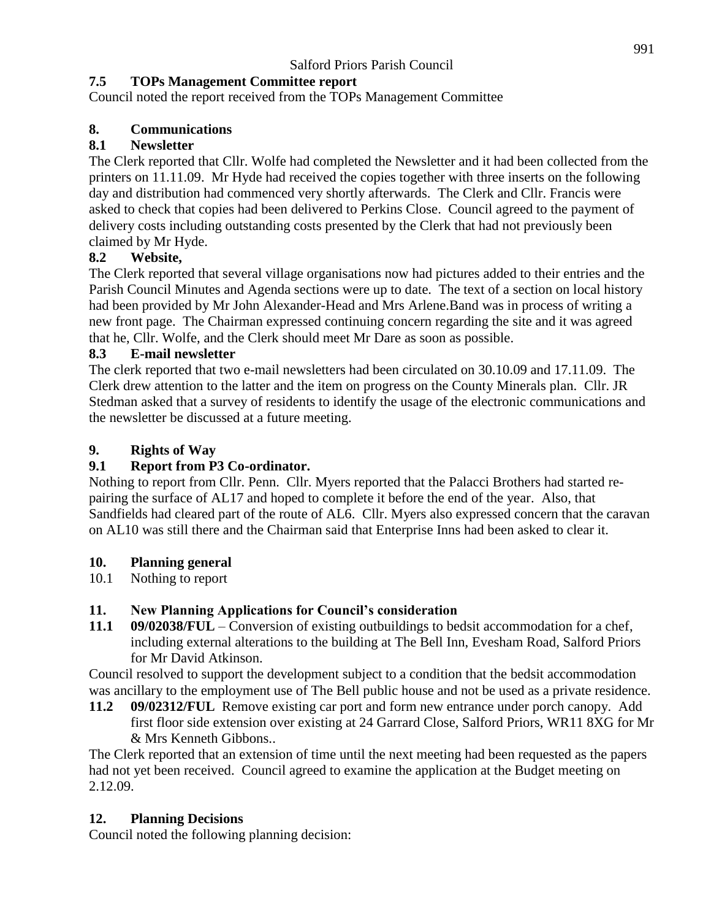# **7.5 TOPs Management Committee report**

Council noted the report received from the TOPs Management Committee

## **8. Communications**

## **8.1 Newsletter**

The Clerk reported that Cllr. Wolfe had completed the Newsletter and it had been collected from the printers on 11.11.09. Mr Hyde had received the copies together with three inserts on the following day and distribution had commenced very shortly afterwards. The Clerk and Cllr. Francis were asked to check that copies had been delivered to Perkins Close. Council agreed to the payment of delivery costs including outstanding costs presented by the Clerk that had not previously been claimed by Mr Hyde.

## **8.2 Website,**

The Clerk reported that several village organisations now had pictures added to their entries and the Parish Council Minutes and Agenda sections were up to date. The text of a section on local history had been provided by Mr John Alexander-Head and Mrs Arlene.Band was in process of writing a new front page. The Chairman expressed continuing concern regarding the site and it was agreed that he, Cllr. Wolfe, and the Clerk should meet Mr Dare as soon as possible.

## **8.3 E-mail newsletter**

The clerk reported that two e-mail newsletters had been circulated on 30.10.09 and 17.11.09. The Clerk drew attention to the latter and the item on progress on the County Minerals plan. Cllr. JR Stedman asked that a survey of residents to identify the usage of the electronic communications and the newsletter be discussed at a future meeting.

# **9. Rights of Way**

# **9.1 Report from P3 Co-ordinator.**

Nothing to report from Cllr. Penn. Cllr. Myers reported that the Palacci Brothers had started repairing the surface of AL17 and hoped to complete it before the end of the year. Also, that Sandfields had cleared part of the route of AL6. Cllr. Myers also expressed concern that the caravan on AL10 was still there and the Chairman said that Enterprise Inns had been asked to clear it.

## **10. Planning general**

10.1 Nothing to report

# **11. New Planning Applications for Council's consideration**

**11.1 09/02038/FUL** – Conversion of existing outbuildings to bedsit accommodation for a chef, including external alterations to the building at The Bell Inn, Evesham Road, Salford Priors for Mr David Atkinson.

Council resolved to support the development subject to a condition that the bedsit accommodation was ancillary to the employment use of The Bell public house and not be used as a private residence.

**11.2 09/02312/FUL** Remove existing car port and form new entrance under porch canopy. Add first floor side extension over existing at 24 Garrard Close, Salford Priors, WR11 8XG for Mr & Mrs Kenneth Gibbons..

The Clerk reported that an extension of time until the next meeting had been requested as the papers had not yet been received. Council agreed to examine the application at the Budget meeting on 2.12.09.

# **12. Planning Decisions**

Council noted the following planning decision: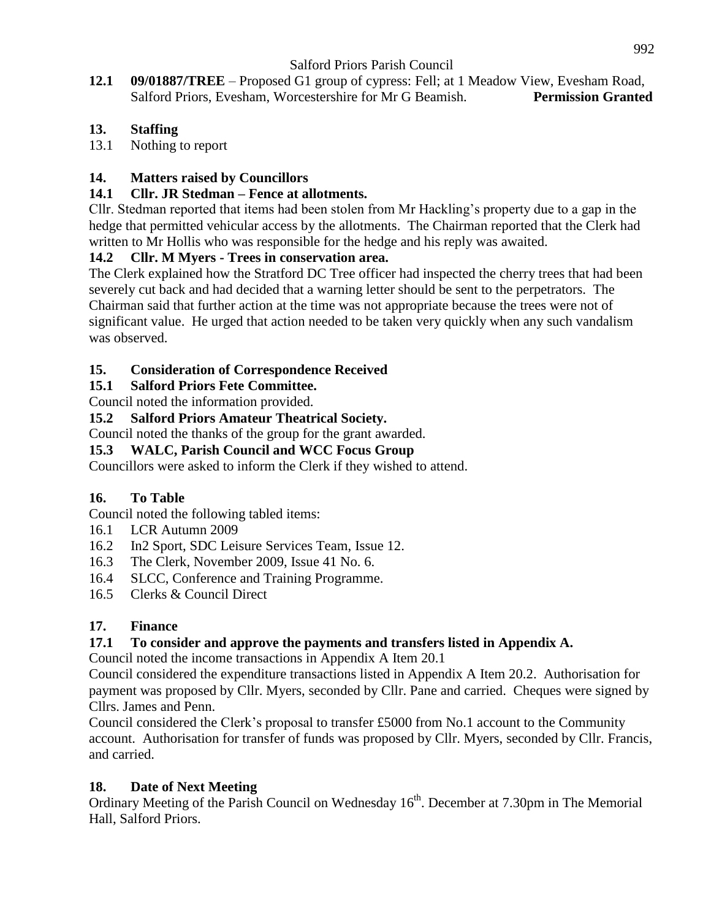**12.1 09/01887/TREE** – Proposed G1 group of cypress: Fell; at 1 Meadow View, Evesham Road, Salford Priors, Evesham, Worcestershire for Mr G Beamish. **Permission Granted**

## **13. Staffing**

13.1 Nothing to report

## **14. Matters raised by Councillors**

### **14.1 Cllr. JR Stedman – Fence at allotments.**

Cllr. Stedman reported that items had been stolen from Mr Hackling's property due to a gap in the hedge that permitted vehicular access by the allotments. The Chairman reported that the Clerk had written to Mr Hollis who was responsible for the hedge and his reply was awaited.

## **14.2 Cllr. M Myers - Trees in conservation area.**

The Clerk explained how the Stratford DC Tree officer had inspected the cherry trees that had been severely cut back and had decided that a warning letter should be sent to the perpetrators. The Chairman said that further action at the time was not appropriate because the trees were not of significant value. He urged that action needed to be taken very quickly when any such vandalism was observed.

## **15. Consideration of Correspondence Received**

#### **15.1 Salford Priors Fete Committee.**

Council noted the information provided.

#### **15.2 Salford Priors Amateur Theatrical Society.**

Council noted the thanks of the group for the grant awarded.

#### **15.3 WALC, Parish Council and WCC Focus Group**

Councillors were asked to inform the Clerk if they wished to attend.

## **16. To Table**

Council noted the following tabled items:

- 16.1 LCR Autumn 2009
- 16.2 In2 Sport, SDC Leisure Services Team, Issue 12.
- 16.3 The Clerk, November 2009, Issue 41 No. 6.
- 16.4 SLCC, Conference and Training Programme.
- 16.5 Clerks & Council Direct

## **17. Finance**

## **17.1 To consider and approve the payments and transfers listed in Appendix A.**

Council noted the income transactions in Appendix A Item 20.1

Council considered the expenditure transactions listed in Appendix A Item 20.2. Authorisation for payment was proposed by Cllr. Myers, seconded by Cllr. Pane and carried. Cheques were signed by Cllrs. James and Penn.

Council considered the Clerk's proposal to transfer £5000 from No.1 account to the Community account. Authorisation for transfer of funds was proposed by Cllr. Myers, seconded by Cllr. Francis, and carried.

## **18. Date of Next Meeting**

Ordinary Meeting of the Parish Council on Wednesday 16<sup>th</sup>. December at 7.30pm in The Memorial Hall, Salford Priors.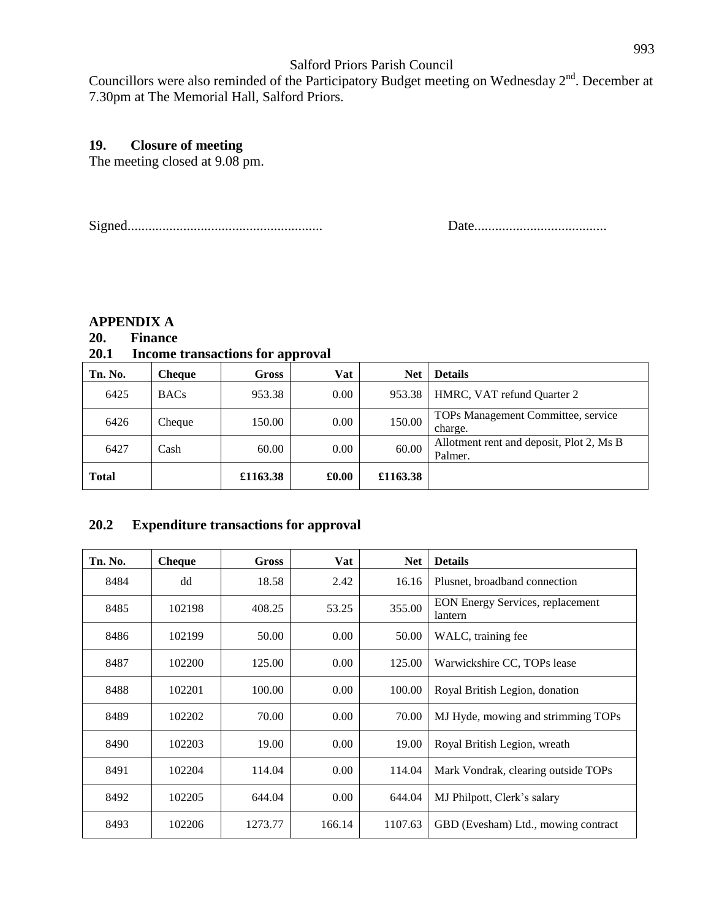Councillors were also reminded of the Participatory Budget meeting on Wednesday 2<sup>nd</sup>. December at 7.30pm at The Memorial Hall, Salford Priors.

#### **19. Closure of meeting**

The meeting closed at 9.08 pm.

Signed........................................................ Date......................................

#### **APPENDIX A**

## **20. Finance**

#### **20.1 Income transactions for approval**

| Tn. No.      | <b>Cheque</b> | <b>Gross</b> | Vat   | <b>Net</b> | <b>Details</b>                                      |
|--------------|---------------|--------------|-------|------------|-----------------------------------------------------|
| 6425         | <b>BACs</b>   | 953.38       | 0.00  | 953.38     | HMRC, VAT refund Quarter 2                          |
| 6426         | Cheque        | 150.00       | 0.00  | 150.00     | TOPs Management Committee, service<br>charge.       |
| 6427         | Cash          | 60.00        | 0.00  | 60.00      | Allotment rent and deposit, Plot 2, Ms B<br>Palmer. |
| <b>Total</b> |               | £1163.38     | £0.00 | £1163.38   |                                                     |

#### **20.2 Expenditure transactions for approval**

| Tn. No. | <b>Cheque</b> | Gross   | Vat    | <b>Net</b> | <b>Details</b>                                     |
|---------|---------------|---------|--------|------------|----------------------------------------------------|
| 8484    | dd            | 18.58   | 2.42   | 16.16      | Plusnet, broadband connection                      |
| 8485    | 102198        | 408.25  | 53.25  | 355.00     | <b>EON Energy Services, replacement</b><br>lantern |
| 8486    | 102199        | 50.00   | 0.00   | 50.00      | WALC, training fee                                 |
| 8487    | 102200        | 125.00  | 0.00   | 125.00     | Warwickshire CC, TOPs lease                        |
| 8488    | 102201        | 100.00  | 0.00   | 100.00     | Royal British Legion, donation                     |
| 8489    | 102202        | 70.00   | 0.00   | 70.00      | MJ Hyde, mowing and strimming TOPs                 |
| 8490    | 102203        | 19.00   | 0.00   | 19.00      | Royal British Legion, wreath                       |
| 8491    | 102204        | 114.04  | 0.00   | 114.04     | Mark Vondrak, clearing outside TOPs                |
| 8492    | 102205        | 644.04  | 0.00   | 644.04     | MJ Philpott, Clerk's salary                        |
| 8493    | 102206        | 1273.77 | 166.14 | 1107.63    | GBD (Evesham) Ltd., mowing contract                |